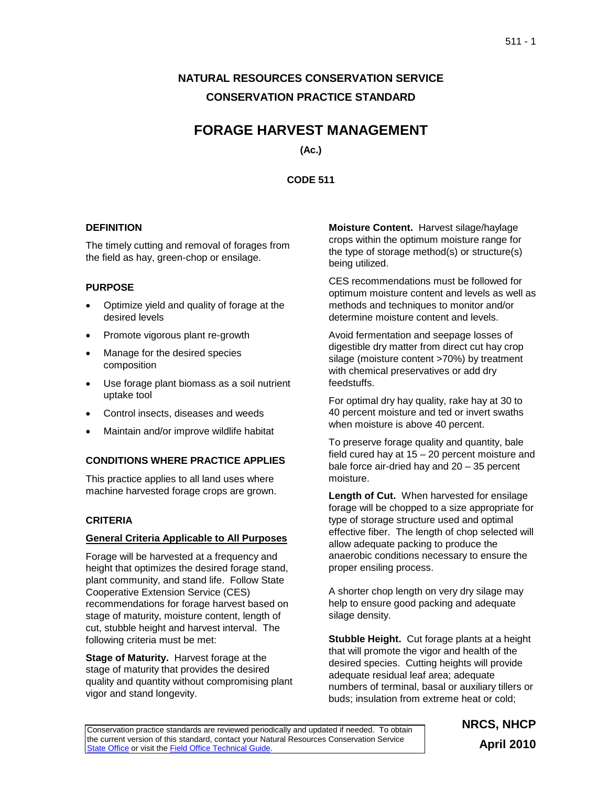# **NATURAL RESOURCES CONSERVATION SERVICE CONSERVATION PRACTICE STANDARD**

# **FORAGE HARVEST MANAGEMENT**

**(Ac.)**

**CODE 511**

## **DEFINITION**

The timely cutting and removal of forages from the field as hay, green-chop or ensilage.

# **PURPOSE**

- Optimize yield and quality of forage at the desired levels
- Promote vigorous plant re-growth
- Manage for the desired species composition
- Use forage plant biomass as a soil nutrient uptake tool
- Control insects, diseases and weeds
- Maintain and/or improve wildlife habitat

# **CONDITIONS WHERE PRACTICE APPLIES**

This practice applies to all land uses where machine harvested forage crops are grown.

# **CRITERIA**

## **General Criteria Applicable to All Purposes**

Forage will be harvested at a frequency and height that optimizes the desired forage stand, plant community, and stand life. Follow State Cooperative Extension Service (CES) recommendations for forage harvest based on stage of maturity, moisture content, length of cut, stubble height and harvest interval. The following criteria must be met:

**Stage of Maturity.** Harvest forage at the stage of maturity that provides the desired quality and quantity without compromising plant vigor and stand longevity.

**Moisture Content.** Harvest silage/haylage crops within the optimum moisture range for the type of storage method(s) or structure(s) being utilized.

CES recommendations must be followed for optimum moisture content and levels as well as methods and techniques to monitor and/or determine moisture content and levels.

Avoid fermentation and seepage losses of digestible dry matter from direct cut hay crop silage (moisture content >70%) by treatment with chemical preservatives or add dry feedstuffs.

For optimal dry hay quality, rake hay at 30 to 40 percent moisture and ted or invert swaths when moisture is above 40 percent.

To preserve forage quality and quantity, bale field cured hay at 15 – 20 percent moisture and bale force air-dried hay and 20 – 35 percent moisture.

**Length of Cut.** When harvested for ensilage forage will be chopped to a size appropriate for type of storage structure used and optimal effective fiber. The length of chop selected will allow adequate packing to produce the anaerobic conditions necessary to ensure the proper ensiling process.

A shorter chop length on very dry silage may help to ensure good packing and adequate silage density.

**Stubble Height.** Cut forage plants at a height that will promote the vigor and health of the desired species. Cutting heights will provide adequate residual leaf area; adequate numbers of terminal, basal or auxiliary tillers or buds; insulation from extreme heat or cold;

Conservation practice standards are reviewed periodically and updated if needed. To obtain the current version of this standard, contact your Natural Resources Conservation Service [State Office](http://www.nrcs.usda.gov/about/organization/regions.html) or visit the [Field Office Technical Guide.](http://www.nrcs.usda.gov/technical/efotg)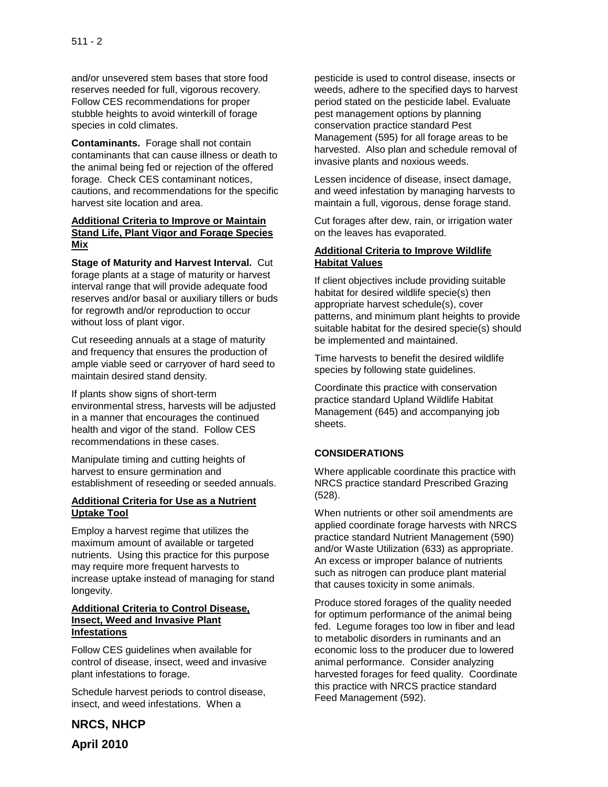and/or unsevered stem bases that store food reserves needed for full, vigorous recovery. Follow CES recommendations for proper stubble heights to avoid winterkill of forage species in cold climates.

**Contaminants.** Forage shall not contain contaminants that can cause illness or death to the animal being fed or rejection of the offered forage. Check CES contaminant notices, cautions, and recommendations for the specific harvest site location and area.

### **Additional Criteria to Improve or Maintain Stand Life, Plant Vigor and Forage Species Mix**

**Stage of Maturity and Harvest Interval.** Cut forage plants at a stage of maturity or harvest interval range that will provide adequate food reserves and/or basal or auxiliary tillers or buds for regrowth and/or reproduction to occur without loss of plant vigor.

Cut reseeding annuals at a stage of maturity and frequency that ensures the production of ample viable seed or carryover of hard seed to maintain desired stand density.

If plants show signs of short-term environmental stress, harvests will be adjusted in a manner that encourages the continued health and vigor of the stand. Follow CES recommendations in these cases.

Manipulate timing and cutting heights of harvest to ensure germination and establishment of reseeding or seeded annuals.

#### **Additional Criteria for Use as a Nutrient Uptake Tool**

Employ a harvest regime that utilizes the maximum amount of available or targeted nutrients. Using this practice for this purpose may require more frequent harvests to increase uptake instead of managing for stand longevity.

#### **Additional Criteria to Control Disease, Insect, Weed and Invasive Plant Infestations**

Follow CES guidelines when available for control of disease, insect, weed and invasive plant infestations to forage.

Schedule harvest periods to control disease, insect, and weed infestations. When a

pesticide is used to control disease, insects or weeds, adhere to the specified days to harvest period stated on the pesticide label. Evaluate pest management options by planning conservation practice standard Pest Management (595) for all forage areas to be harvested. Also plan and schedule removal of invasive plants and noxious weeds.

Lessen incidence of disease, insect damage, and weed infestation by managing harvests to maintain a full, vigorous, dense forage stand.

Cut forages after dew, rain, or irrigation water on the leaves has evaporated.

#### **Additional Criteria to Improve Wildlife Habitat Values**

If client objectives include providing suitable habitat for desired wildlife specie(s) then appropriate harvest schedule(s), cover patterns, and minimum plant heights to provide suitable habitat for the desired specie(s) should be implemented and maintained.

Time harvests to benefit the desired wildlife species by following state guidelines.

Coordinate this practice with conservation practice standard Upland Wildlife Habitat Management (645) and accompanying job sheets.

## **CONSIDERATIONS**

Where applicable coordinate this practice with NRCS practice standard Prescribed Grazing (528).

When nutrients or other soil amendments are applied coordinate forage harvests with NRCS practice standard Nutrient Management (590) and/or Waste Utilization (633) as appropriate. An excess or improper balance of nutrients such as nitrogen can produce plant material that causes toxicity in some animals.

Produce stored forages of the quality needed for optimum performance of the animal being fed. Legume forages too low in fiber and lead to metabolic disorders in ruminants and an economic loss to the producer due to lowered animal performance. Consider analyzing harvested forages for feed quality. Coordinate this practice with NRCS practice standard Feed Management (592).

**NRCS, NHCP April 2010**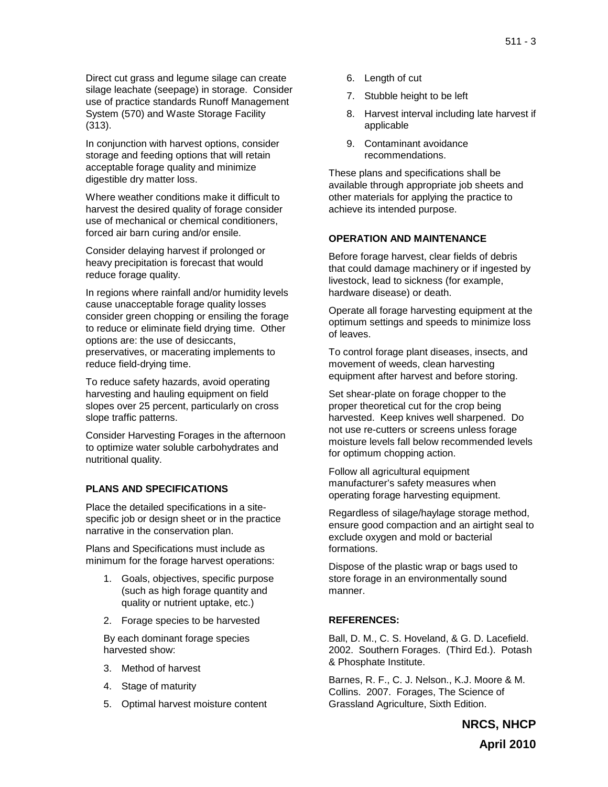Direct cut grass and legume silage can create silage leachate (seepage) in storage. Consider use of practice standards Runoff Management System (570) and Waste Storage Facility (313).

In conjunction with harvest options, consider storage and feeding options that will retain acceptable forage quality and minimize digestible dry matter loss.

Where weather conditions make it difficult to harvest the desired quality of forage consider use of mechanical or chemical conditioners, forced air barn curing and/or ensile.

Consider delaying harvest if prolonged or heavy precipitation is forecast that would reduce forage quality.

In regions where rainfall and/or humidity levels cause unacceptable forage quality losses consider green chopping or ensiling the forage to reduce or eliminate field drying time. Other options are: the use of desiccants, preservatives, or macerating implements to reduce field-drying time.

To reduce safety hazards, avoid operating harvesting and hauling equipment on field slopes over 25 percent, particularly on cross slope traffic patterns.

Consider Harvesting Forages in the afternoon to optimize water soluble carbohydrates and nutritional quality.

## **PLANS AND SPECIFICATIONS**

Place the detailed specifications in a sitespecific job or design sheet or in the practice narrative in the conservation plan.

Plans and Specifications must include as minimum for the forage harvest operations:

- 1. Goals, objectives, specific purpose (such as high forage quantity and quality or nutrient uptake, etc.)
- 2. Forage species to be harvested

By each dominant forage species harvested show:

- 3. Method of harvest
- 4. Stage of maturity
- 5. Optimal harvest moisture content
- 6. Length of cut
- 7. Stubble height to be left
- 8. Harvest interval including late harvest if applicable
- 9. Contaminant avoidance recommendations.

These plans and specifications shall be available through appropriate job sheets and other materials for applying the practice to achieve its intended purpose.

#### **OPERATION AND MAINTENANCE**

Before forage harvest, clear fields of debris that could damage machinery or if ingested by livestock, lead to sickness (for example, hardware disease) or death.

Operate all forage harvesting equipment at the optimum settings and speeds to minimize loss of leaves.

To control forage plant diseases, insects, and movement of weeds, clean harvesting equipment after harvest and before storing.

Set shear-plate on forage chopper to the proper theoretical cut for the crop being harvested. Keep knives well sharpened. Do not use re-cutters or screens unless forage moisture levels fall below recommended levels for optimum chopping action.

Follow all agricultural equipment manufacturer's safety measures when operating forage harvesting equipment.

Regardless of silage/haylage storage method, ensure good compaction and an airtight seal to exclude oxygen and mold or bacterial formations.

Dispose of the plastic wrap or bags used to store forage in an environmentally sound manner.

#### **REFERENCES:**

Ball, D. M., C. S. Hoveland, & G. D. Lacefield. 2002. Southern Forages. (Third Ed.). Potash & Phosphate Institute.

Barnes, R. F., C. J. Nelson., K.J. Moore & M. Collins. 2007. Forages, The Science of Grassland Agriculture, Sixth Edition.